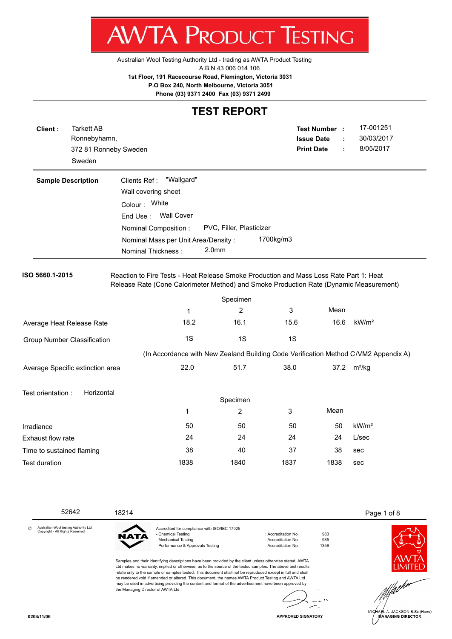Australian Wool Testing Authority Ltd - trading as AWTA Product Testing

A.B.N 43 006 014 106

**AWTA PRODUCT TESTING** 

**1st Floor, 191 Racecourse Road, Flemington, Victoria 3031**

 **P.O Box 240, North Melbourne, Victoria 3051**

**Phone (03) 9371 2400 Fax (03) 9371 2499**

#### **TEST REPORT**

| Client:                   | <b>Tarkett AB</b><br>Ronnebyhamn,<br>Sweden | 372 81 Ronneby Sweden                                                                                                                                                            |                                     |                          |           | <b>Test Number :</b><br><b>Issue Date</b><br><b>Print Date</b> | ÷ | 17-001251<br>30/03/2017<br>8/05/2017                                                |
|---------------------------|---------------------------------------------|----------------------------------------------------------------------------------------------------------------------------------------------------------------------------------|-------------------------------------|--------------------------|-----------|----------------------------------------------------------------|---|-------------------------------------------------------------------------------------|
| <b>Sample Description</b> |                                             | Clients Ref:                                                                                                                                                                     | "Wallgard"                          |                          |           |                                                                |   |                                                                                     |
|                           |                                             | Wall covering sheet                                                                                                                                                              |                                     |                          |           |                                                                |   |                                                                                     |
|                           |                                             | Colour: White                                                                                                                                                                    |                                     |                          |           |                                                                |   |                                                                                     |
|                           |                                             | End Use:                                                                                                                                                                         | <b>Wall Cover</b>                   |                          |           |                                                                |   |                                                                                     |
|                           |                                             | Nominal Composition:                                                                                                                                                             |                                     | PVC, Filler, Plasticizer |           |                                                                |   |                                                                                     |
|                           |                                             | Nominal Thickness:                                                                                                                                                               | Nominal Mass per Unit Area/Density: | 2.0 <sub>mm</sub>        | 1700kg/m3 |                                                                |   |                                                                                     |
| ISO 5660.1-2015           |                                             | Reaction to Fire Tests - Heat Release Smoke Production and Mass Loss Rate Part 1: Heat<br>Release Rate (Cone Calorimeter Method) and Smoke Production Rate (Dynamic Measurement) |                                     |                          |           |                                                                |   |                                                                                     |
|                           |                                             |                                                                                                                                                                                  |                                     | Specimen                 |           |                                                                |   |                                                                                     |
|                           |                                             |                                                                                                                                                                                  | 1                                   | $\overline{2}$           | 3         | Mean                                                           |   |                                                                                     |
|                           | Average Heat Release Rate                   |                                                                                                                                                                                  | 18.2                                | 16.1                     | 15.6      | 16.6                                                           |   | kW/m <sup>2</sup>                                                                   |
|                           | <b>Group Number Classification</b>          |                                                                                                                                                                                  | 1S                                  | 1S                       | 1S        |                                                                |   |                                                                                     |
|                           |                                             |                                                                                                                                                                                  |                                     |                          |           |                                                                |   | (In Accordance with New Zealand Building Code Verification Method C/VM2 Appendix A) |
|                           | Average Specific extinction area            |                                                                                                                                                                                  | 22.0                                | 51.7                     | 38.0      |                                                                |   | 37.2 m <sup>2</sup> /kg                                                             |
| Test orientation :        | Horizontal                                  |                                                                                                                                                                                  |                                     |                          |           |                                                                |   |                                                                                     |
|                           |                                             |                                                                                                                                                                                  |                                     | Specimen                 |           |                                                                |   |                                                                                     |
|                           |                                             |                                                                                                                                                                                  | 1                                   | $\overline{2}$           | 3         | Mean                                                           |   |                                                                                     |
| Irradiance                |                                             |                                                                                                                                                                                  | 50                                  | 50                       | 50        | 50                                                             |   | kW/m <sup>2</sup>                                                                   |
| Exhaust flow rate         |                                             |                                                                                                                                                                                  | 24                                  | 24                       | 24        | 24                                                             |   | L/sec                                                                               |
| Time to sustained flaming |                                             |                                                                                                                                                                                  | 38                                  | 40                       | 37        | 38                                                             |   | sec                                                                                 |
| <b>Test duration</b>      |                                             |                                                                                                                                                                                  | 1838                                | 1840                     | 1837      | 1838                                                           |   | sec                                                                                 |
|                           |                                             |                                                                                                                                                                                  |                                     |                          |           |                                                                |   |                                                                                     |

 52642 18214 Page 1 of 8 Accredited for compliance with ISO/IEC 17025 Australian Wool testing Authority Ltd Copyright - All Rights Reserved - Chemical Testing **in Accreditation No.** 983 **NATA** - Mechanical Testing in a match of the control of Accreditation No. 5985<br>- Performance & Approvals Testing in the control of Accreditation No. 61356 - Performance & Approvals Testing Samples and their identifying descriptions have been provided by the client unless otherwise stated. AWTA Ltd makes no warranty, implied or otherwise, as to the source of the tested samples. The above test results

relate only to the sample or samples tested. This document shall not be reproduced except in full and shall be rendered void if amended or altered. This document, the names AWTA Product Testing and AWTA Ltd may be used in advertising providing the content and format of the advertisement have been approved by the Managing Director of AWTA Ltd.



JACKSON B.Sc.(Hons) **MANAGING DIRECTOR** 

©

**APPROVED SIGNATORY**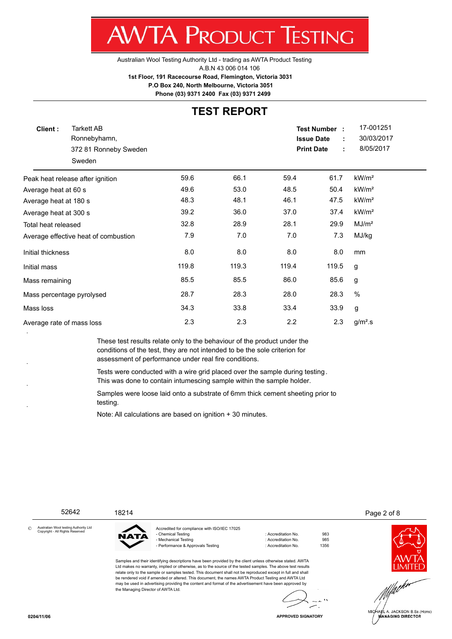Australian Wool Testing Authority Ltd - trading as AWTA Product Testing A.B.N 43 006 014 106 **1st Floor, 191 Racecourse Road, Flemington, Victoria 3031 P.O Box 240, North Melbourne, Victoria 3051**

**Phone (03) 9371 2400 Fax (03) 9371 2499**

#### **TEST REPORT**

| Client:                   | <b>Tarkett AB</b><br>Ronnebyhamn,<br>372 81 Ronneby Sweden<br>Sweden |       |       |       | <b>Test Number:</b><br><b>Issue Date</b><br><b>Print Date</b><br>÷ | 17-001251<br>30/03/2017<br>8/05/2017 |  |
|---------------------------|----------------------------------------------------------------------|-------|-------|-------|--------------------------------------------------------------------|--------------------------------------|--|
|                           | Peak heat release after ignition                                     | 59.6  | 66.1  | 59.4  | 61.7                                                               | kW/m <sup>2</sup>                    |  |
| Average heat at 60 s      |                                                                      | 49.6  | 53.0  | 48.5  | 50.4                                                               | kW/m <sup>2</sup>                    |  |
| Average heat at 180 s     |                                                                      | 48.3  | 48.1  | 46.1  | 47.5                                                               | kW/m <sup>2</sup>                    |  |
| Average heat at 300 s     |                                                                      | 39.2  | 36.0  | 37.0  | 37.4                                                               | kW/m <sup>2</sup>                    |  |
| Total heat released       |                                                                      | 32.8  | 28.9  | 28.1  | 29.9                                                               | MJ/m <sup>2</sup>                    |  |
|                           | Average effective heat of combustion                                 | 7.9   | 7.0   | 7.0   | 7.3                                                                | MJ/kg                                |  |
| Initial thickness         |                                                                      | 8.0   | 8.0   | 8.0   | 8.0                                                                | mm                                   |  |
| Initial mass              |                                                                      | 119.8 | 119.3 | 119.4 | 119.5                                                              | g                                    |  |
| Mass remaining            |                                                                      | 85.5  | 85.5  | 86.0  | 85.6                                                               | g                                    |  |
|                           | Mass percentage pyrolysed                                            | 28.7  | 28.3  | 28.0  | 28.3                                                               | $\%$                                 |  |
| Mass loss                 |                                                                      | 34.3  | 33.8  | 33.4  | 33.9                                                               | g                                    |  |
| Average rate of mass loss |                                                                      | 2.3   | 2.3   | 2.2   | 2.3                                                                | $g/m2$ .s                            |  |

These test results relate only to the behaviour of the product under the conditions of the test, they are not intended to be the sole criterion for assessment of performance under real fire conditions.

Tests were conducted with a wire grid placed over the sample during testing . This was done to contain intumescing sample within the sample holder.

Samples were loose laid onto a substrate of 6mm thick cement sheeting prior to testing.

Note: All calculations are based on ignition + 30 minutes.

52642 18214 Page 2 of 8

Australian Wool testing Authority Ltd Copyright - All Rights Reserved ©

JATA

the Managing Director of AWTA Ltd.

Accredited for compliance with ISO/IEC 17025 - Chemical Testing in a metal of the control of the control of the control of the control of the 983 - Mechanical Testing : Accreditation No. 595<br>- Performance & Approvals Testing : Accreditation No. 61356 - Performance & Approvals Testing : Accreditation No.

JACKSON B.Sc.(Hons) **ÍANAGING DIRECTOR** 



**0204/11/06**

**APPROVED SIGNATORY**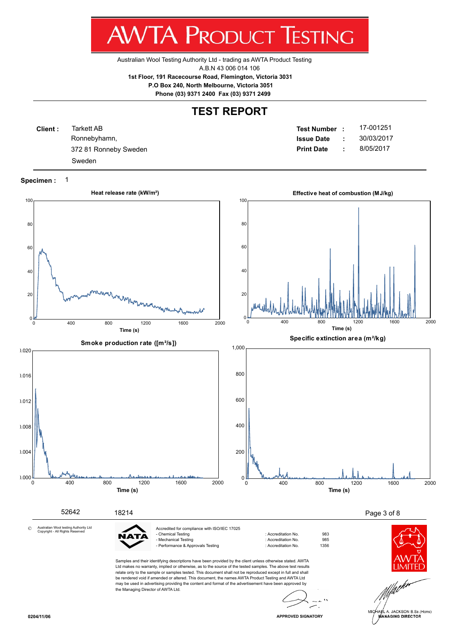Australian Wool Testing Authority Ltd - trading as AWTA Product Testing A.B.N 43 006 014 106

**1st Floor, 191 Racecourse Road, Flemington, Victoria 3031**

 **P.O Box 240, North Melbourne, Victoria 3051**

**Phone (03) 9371 2400 Fax (03) 9371 2499**

#### **TEST REPORT**

| Client: | Tarkett AB            | Test Number :     |    | 17-001251  |
|---------|-----------------------|-------------------|----|------------|
|         | Ronnebyhamn,          | <b>Issue Date</b> |    | 30/03/2017 |
|         | 372 81 Ronneby Sweden | <b>Print Date</b> | ٠. | 8/05/2017  |
|         | Sweden                |                   |    |            |

#### **Specimen :** 1



JACKSON B.Sc.(Hons) **ANAGING DIRECTOR**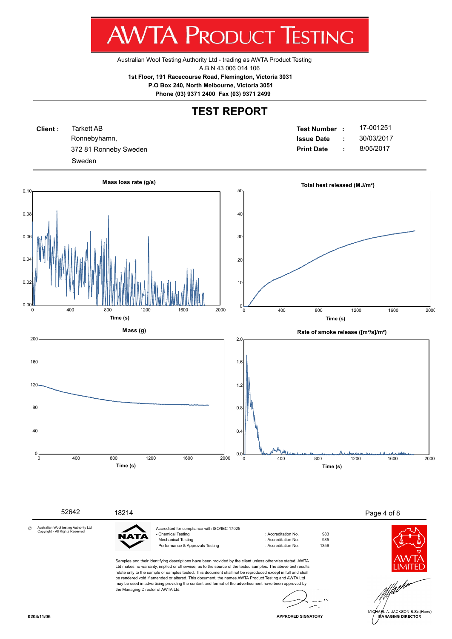Australian Wool Testing Authority Ltd - trading as AWTA Product Testing A.B.N 43 006 014 106

**1st Floor, 191 Racecourse Road, Flemington, Victoria 3031**

 **P.O Box 240, North Melbourne, Victoria 3051**

**Phone (03) 9371 2400 Fax (03) 9371 2499**

### **TEST REPORT**

**Client :** Ronnebyhamn, Tarkett AB Sweden

**Test Number : Issue Date :** 17-001251 372 81 Ronneby Sweden **Print Date :** 8/05/2017 30/03/2017

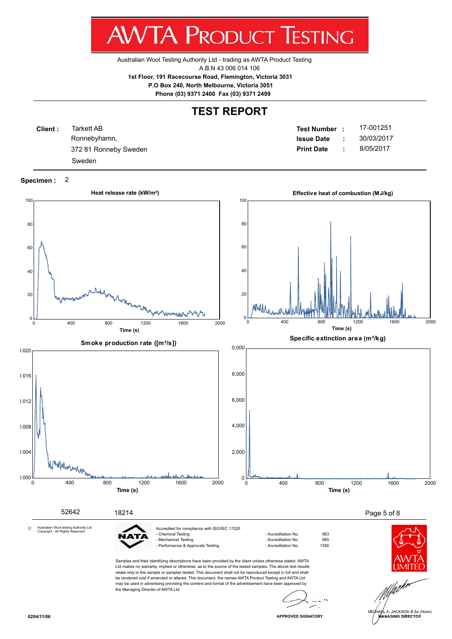Australian Wool Testing Authority Ltd - trading as AWTA Product Testing A.B.N 43 006 014 106

**1st Floor, 191 Racecourse Road, Flemington, Victoria 3031**

 **P.O Box 240, North Melbourne, Victoria 3051**

**Phone (03) 9371 2400 Fax (03) 9371 2499**

#### **TEST REPORT**

| Client: | Tarkett AB<br>Test Number :                |     | 17-001251  |
|---------|--------------------------------------------|-----|------------|
|         | Ronnebyhamn,<br><b>Issue Date</b>          |     | 30/03/2017 |
|         | <b>Print Date</b><br>372 81 Ronneby Sweden | -11 | 8/05/2017  |
|         | Sweden                                     |     |            |

#### **Specimen :** 2

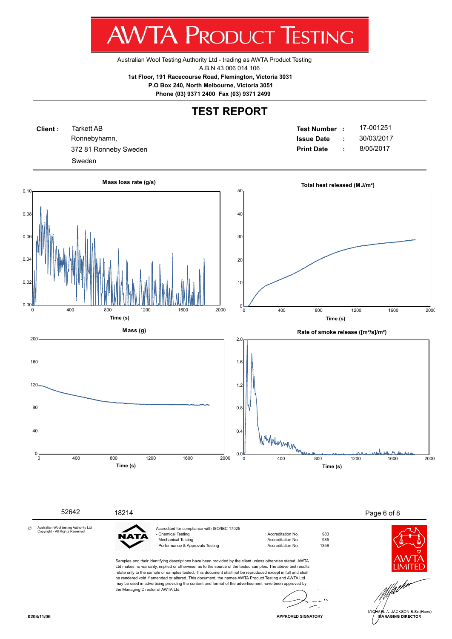Australian Wool Testing Authority Ltd - trading as AWTA Product Testing A.B.N 43 006 014 106

**1st Floor, 191 Racecourse Road, Flemington, Victoria 3031**

 **P.O Box 240, North Melbourne, Victoria 3051**

**Phone (03) 9371 2400 Fax (03) 9371 2499**

### **TEST REPORT**

**Client :** Ronnebyhamn, Tarkett AB Sweden

**Test Number : Issue Date :** 17-001251 372 81 Ronneby Sweden **Print Date :** 8/05/2017 30/03/2017



**APPROVED SIGNATORY**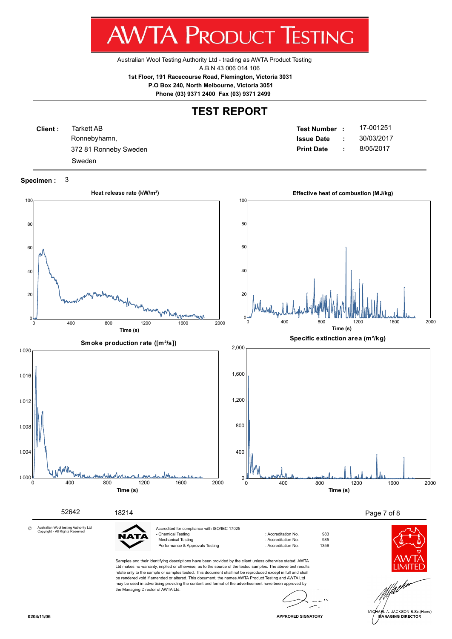Australian Wool Testing Authority Ltd - trading as AWTA Product Testing A.B.N 43 006 014 106

**1st Floor, 191 Racecourse Road, Flemington, Victoria 3031**

 **P.O Box 240, North Melbourne, Victoria 3051**

**Phone (03) 9371 2400 Fax (03) 9371 2499**

### **TEST REPORT**

| <b>Client:</b> | Tarkett AB<br>Test Number :                |  | 17-001251  |
|----------------|--------------------------------------------|--|------------|
|                | Ronnebyhamn,<br><b>Issue Date</b>          |  | 30/03/2017 |
|                | <b>Print Date</b><br>372 81 Ronneby Sweden |  | 8/05/2017  |
|                | Sweden                                     |  |            |

**Specimen :** 3